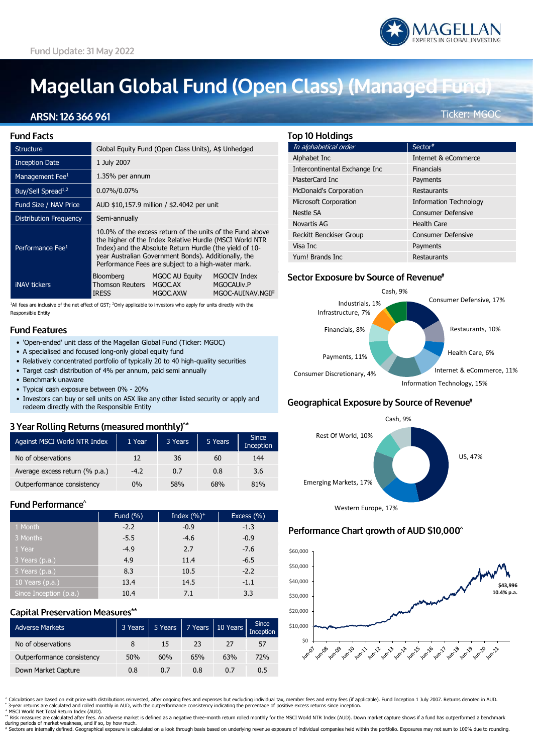# **Magellan Global Fund (Open Class) (Managed Fund)**

### ARSN: 126 366 961

**Fund Facts** Structure Global Equity Fund (Open Class Units), A\$ Unhedged Inception Date 1 July 2007 Management Fee $\frac{1}{1.35\%}$  per annum Buy/Sell Spread1,2 0.07%/0.07% Fund Size / NAV Price AUD \$10,157.9 million / \$2.4042 per unit Distribution Frequency Semi-annually 10.0% of the excess return of the units of the Fund above the higher of the Index Relative Hurdle (MSCI World NTR Performance Fee<sup>1</sup> Index) and the Absolute Return Hurdle (the yield of 10 year Australian Government Bonds). Additionally, the Performance Fees are subject to a high-water mark. Bloomberg MGOC AU Equity MGOCIV Index Thomson Reuters MGOC.AX iNAV tickers IRESS MGOC.AXW MGOC-AUINAV.NGIF

 $1$ All fees are inclusive of the net effect of GST;  $2$ Only applicable to investors who apply for units directly with the Responsible Entity

#### **Fund Features**

- 'Open-ended' unit class of the Magellan Global Fund (Ticker: MGOC)
- A specialised and focused long-only global equity fund
- Relatively concentrated portfolio of typically 20 to 40 high-quality securities
- Target cash distribution of 4% per annum, paid semi annually
- Benchmark unaware
- Typical cash exposure between 0% 20%
- Investors can buy or sell units on ASX like any other listed security or apply and redeem directly with the Responsible Entity

#### 3 Year Rolling Returns (measured monthly)<sup>^\*</sup>

| Against MSCI World NTR Index   | 1 Year | 3 Years | 5 Years | <b>Since</b><br>Inception |
|--------------------------------|--------|---------|---------|---------------------------|
| No of observations             | 12     | 36      | 60      | 144                       |
| Average excess return (% p.a.) | $-4.2$ | 0.7     | 0.8     | 3.6                       |
| Outperformance consistency     | $0\%$  | 58%     | 68%     | 81%                       |

#### Fund Performance<sup>^</sup>

|                        | Fund (%) | Index $(\%)^+$ | Excess (%) |
|------------------------|----------|----------------|------------|
| 1 Month                | $-2.2$   | $-0.9$         | $-1.3$     |
| 3 Months               | $-5.5$   | $-4.6$         | $-0.9$     |
| 1 Year                 | $-4.9$   | 2.7            | $-7.6$     |
| 3 Years (p.a.)         | 4.9      | 11.4           | $-6.5$     |
| 5 Years (p.a.)         | 8.3      | 10.5           | $-2.2$     |
| 10 Years $(p.a.)$      | 13.4     | 14.5           | $-1.1$     |
| Since Inception (p.a.) | 10.4     | 7.1            | 3.3        |

#### **Capital Preservation Measures\*\***

| Adverse Markets            | 3 Years |     |     | $5 \text{ Years}$ 7 Years 10 Years Inception |     |
|----------------------------|---------|-----|-----|----------------------------------------------|-----|
| No of observations         | 8       | 15  | 23  | 27                                           | 57  |
| Outperformance consistency | 50%     | 60% | 65% | 63%                                          | 72% |
| Down Market Capture        | 0.8     | 0.7 | 0.8 | 0.7                                          | 0.5 |

Ticker: MGOC

# **Top 10 Holdings**

| In alphabetical order         | Sector#                       |
|-------------------------------|-------------------------------|
| Alphabet Inc                  | Internet & eCommerce          |
| Intercontinental Exchange Inc | <b>Financials</b>             |
| MasterCard Inc                | Payments                      |
| <b>McDonald's Corporation</b> | Restaurants                   |
| <b>Microsoft Corporation</b>  | <b>Information Technology</b> |
| Nestle SA                     | <b>Consumer Defensive</b>     |
| <b>Novartis AG</b>            | <b>Health Care</b>            |
| Reckitt Benckiser Group       | <b>Consumer Defensive</b>     |
| Visa Inc                      | Payments                      |
| Yum! Brands Inc               | Restaurants                   |

#### Sector Exposure by Source of Revenue<sup>#</sup>



## Geographical Exposure by Source of Revenue<sup>#</sup>



#### Performance Chart growth of AUD \$10,000^



^ Calculations are based on exit price with distributions reinvested, after ongoing fees and expenses but excluding individual tax, member fees and entry fees (if applicable). Fund Inception 1 July 2007. Returns denoted in

\*\* Risk measures are calculated after fees. An adverse market is defined as a negative three-month return rolled monthly for the MSCI World NTR Index (AUD). Down market capture shows if a fund has outperformed a benchmark during periods of market weakness, and if so, by how much.

many penous or manec weaniess, and it so, by now induct.<br>Sectors are internally defined. Geographical exposure is calculated on a look through basis based on underlying revenue exposure of individual companies held within